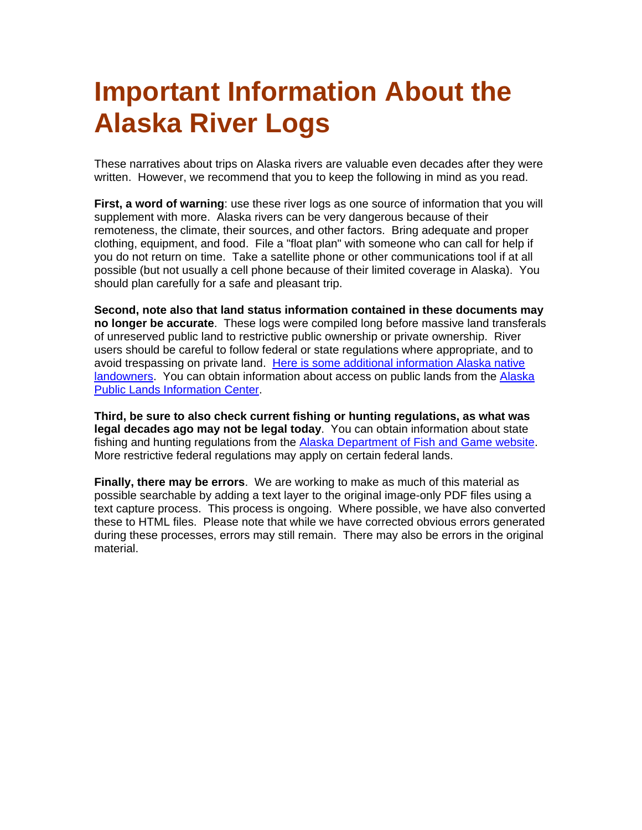## **Important Information About the Alaska River Logs**

These narratives about trips on Alaska rivers are valuable even decades after they were written. However, we recommend that you to keep the following in mind as you read.

**First, a word of warning**: use these river logs as one source of information that you will supplement with more. Alaska rivers can be very dangerous because of their remoteness, the climate, their sources, and other factors. Bring adequate and proper clothing, equipment, and food. File a "float plan" with someone who can call for help if you do not return on time. Take a satellite phone or other communications tool if at all possible (but not usually a cell phone because of their limited coverage in Alaska). You should plan carefully for a safe and pleasant trip.

**Second, note also that land status information contained in these documents may no longer be accurate**. These logs were compiled long before massive land transferals of unreserved public land to restrictive public ownership or private ownership. River users should be careful to follow federal or state regulations where appropriate, and to avoid trespassing on private land. [Here is some additional information Alaska native](http://www.outdoorsdirectory.com/alaska-native-land-ownership.htm)  [landowners](http://www.outdoorsdirectory.com/alaska-native-land-ownership.htm). You can obtain information about access on public lands from the [Alaska](http://www.nps.gov/aplic/)  [Public Lands Information Center](http://www.nps.gov/aplic/).

**Third, be sure to also check current fishing or hunting regulations, as what was legal decades ago may not be legal today**. You can obtain information about state fishing and hunting regulations from the **[Alaska Department of Fish and Game website](http://www.adfg.state.ak.us/)**. More restrictive federal regulations may apply on certain federal lands.

**Finally, there may be errors**. We are working to make as much of this material as possible searchable by adding a text layer to the original image-only PDF files using a text capture process. This process is ongoing. Where possible, we have also converted these to HTML files. Please note that while we have corrected obvious errors generated during these processes, errors may still remain. There may also be errors in the original material.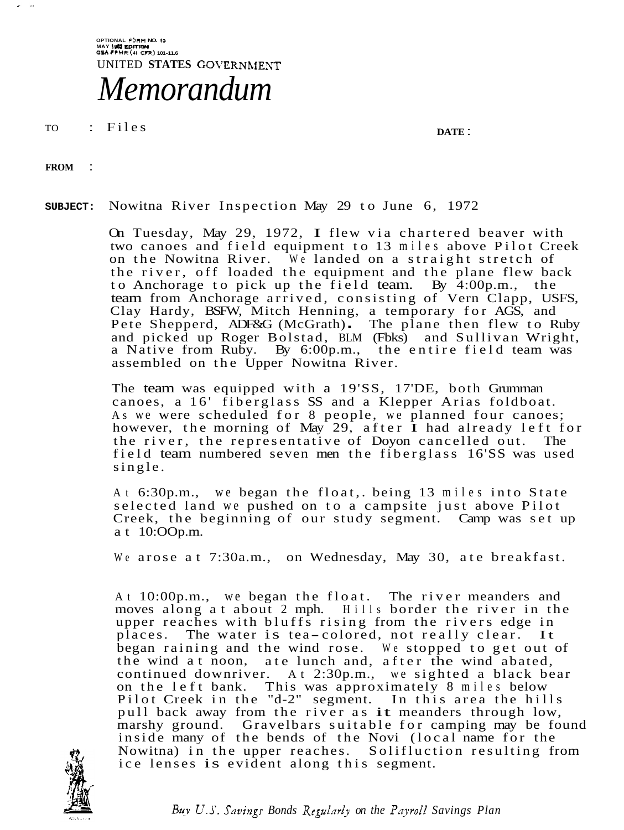**OPTIONAL PORM NO. I0 MAY 1- EDITION GSA FPMR (41 VR) 101-11.6**  UNITED **STATES** GOVERNMENT *Memorandum* 

TO : Files **DATE** :

**FROM** :

 $\sim$ 

**SUBJECT:** Nowitna River Inspection May 29 to June 6, 1972

On Tuesday, May 29, 1972, I flew via chartered beaver with two canoes and field equipment to 13 miles above Pilot Creek on the Nowitna River. We landed on a straight stretch of the river, off loaded the equipment and the plane flew back to Anchorage to pick up the field team. By 4:00p.m., the team from Anchorage arrived, consisting of Vern Clapp, USFS, Clay Hardy, BSFW, Mitch Henning, a temporary for AGS, and Pete Shepperd, ADF&G (McGrath). The plane then flew to Ruby and picked up Roger Bolstad, BLM (Fbks) and Sullivan Wright, a Native from Ruby. By 6:00p.m., the entire field team was assembled on the Upper Nowitna River.

The team was equipped with a 19'SS, 17'DE, both Grumrnan canoes, a 16' fiberglass SS and a Klepper Arias foldboat. As we were scheduled for 8 people, we planned four canoes; however, the morning of May 29, after  $\tilde{I}$  had already left for the river, the representative of Dovon cancelled out. The the river, the representative of Doyon cancelled out. field team numbered seven men the fiberglass 16'SS was used single.

At 6:30p.m., we began the float,. being 13 miles into State selected land we pushed on to a campsite just above Pilot Creek, the beginning of our study segment. Camp was set up at 10:OOp.m.

We arose at 7:30a.m., on Wednesday, May 30, ate breakfast.

At 10:00p.m., we began the float. The river meanders and moves along at about 2 mph. Hills border the river in the upper reaches with bluffs rising from the rivers edge in places. The water is tea-colored, not really clear. It began raining and the wind rose. We stopped to get out of the wind at noon, ate lunch and, after the wind abated, continued downriver. At 2:30p.m., we sighted a black bear on the left bank. This was approximately 8 miles below Pilot Creek in the "d-2" segment. In this area the hills pull back away from the river as it meanders through low, marshy ground. Gravelbars suitable for camping may be found inside many of the bends of the Novi (local name for the Nowitna) in the upper reaches. Solifluction resulting from ice lenses is evident along this segment.



*Buv* U.S. *Sauingr Bonds Regularl~ on the Pqroll Savings Plan*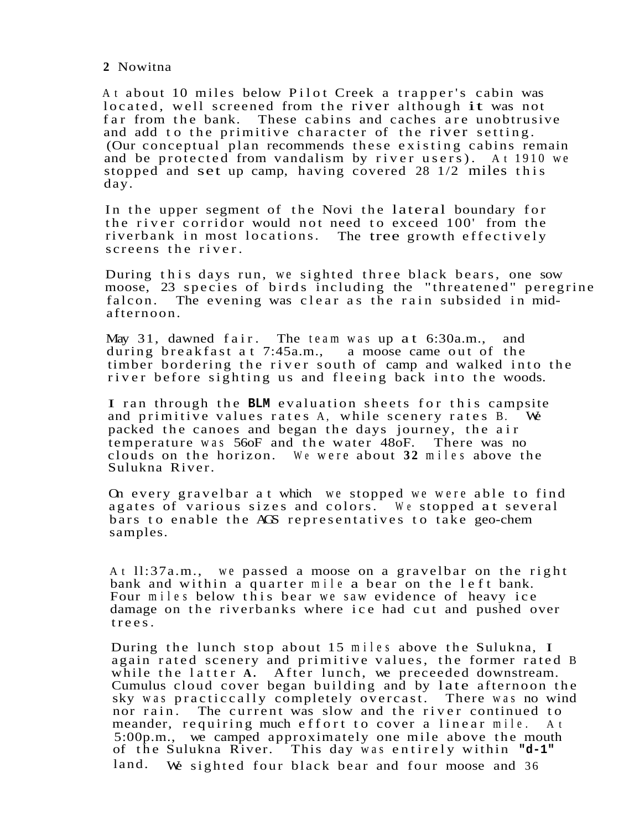At about 10 miles below Pilot Creek a trapper's cabin was located, well screened from the river although it was not far from the bank. These cabins and caches are unobtrusive and add to the primitive character of the river setting. (Our conceptual plan recommends these existing cabins remain and be protected from vandalism by river users). At 1910 we stopped and set up camp, having covered 28 1/2 miles this day.

In the upper segment of the Novi the lateral boundary for the river corridor would not need to exceed 100' from the riverbank in most locations. The tree growth effectively screens the river.

During this days run, we sighted three black bears, one sow moose, 23 species of birds including the "threatened" peregrine falcon. The evening was clear as the rain subsided in midafternoon.

May 31, dawned fair. The team was up at 6:30a.m., and during breakfast at 7:45a.m., a moose came out of the timber bordering the river south of camp and walked into the river before sighting us and fleeing back into the woods.

I ran through the **BLM** evaluation sheets for this campsite and primitive values rates A, while scenery rates B. and primitive values rates A, while scenery rates B. packed the canoes and began the days journey, the air temperature was 56oF and the water 48oF. There was no clouds on the horizon. We were about **32** miles above the Sulukna River.

On every gravelbar at which we stopped we were able to find agates of various sizes and colors. We stopped at several bars to enable the AGS representatives to take geo-chem samples.

At ll:37a.m., we passed a moose on a gravelbar on the right bank and within a quarter mile a bear on the left bank. Four miles below this bear we saw evidence of heavy ice damage on the riverbanks where ice had cut and pushed over trees.

During the lunch stop about 15 miles above the Sulukna, I again rated scenery and primitive values, the former rated B while the latter **A.** After lunch, we preceeded downstream. Cumulus cloud cover began building and by late afternoon the sky was practiccally completely overcast. There was no wind nor rain. The current was slow and the river continued to meander, requiring much effort to cover a linear mile. At 5:00p.m., we camped approximately one mile above the mouth of the Sulukna River. This day was entirely within **"d-1"**  land. We sighted four black bear and four moose and 36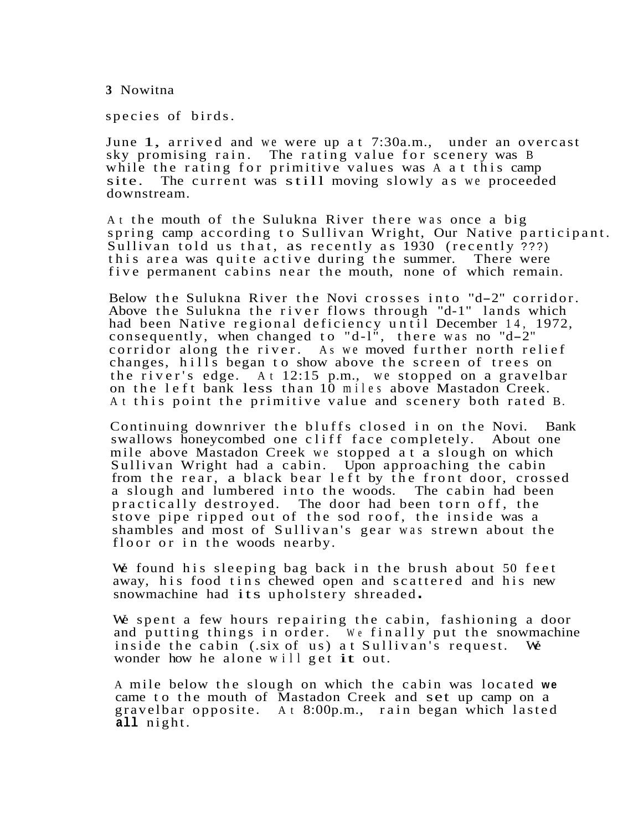species of birds.

June 1, arrived and we were up at 7:30a.m., under an overcast sky promising rain. The rating value for scenery was B The rating value for scenery was B while the rating for primitive values was A at this camp site. The current was still moving slowly as we proceed The current was still moving slowly as we proceeded downstream.

At the mouth of the Sulukna River there was once a big spring camp according to Sullivan Wright, Our Native participant. Sullivan told us that, as recently as 1930 (recently ???) this area was quite active during the summer. five permanent cabins near the mouth, none of which remain.

Below the Sulukna River the Novi crosses into "d-2" corridor. Above the Sulukna the river flows through "d-1" lands which had been Native regional deficiency until December 14, 1972, consequently, when changed to "d-1", there was no "d-2" corridor along the river. As we moved further north relief changes, hills began to show above the screen of trees on the river's edge. At 12:15 p.m., we stopped on a gravelbar on the left bank less than 10 miles above Mastadon Creek. At this point the primitive value and scenery both rated B.

Continuing downriver the bluffs closed in on the Novi. Bank swallows honeycombed one cliff face completely. About one mile above Mastadon Creek we stopped at a slough on which Sullivan Wright had a cabin. Upon approaching the cabin from the rear, a black bear left by the front door, crossed<br>a slough and lumbered into the woods. The cabin had been a slough and lumbered into the woods. practically destroyed. The door had been torn off, the stove pipe ripped out of the sod roof, the inside was a shambles and most of Sullivan's gear was strewn about the floor or in the woods nearby.

We found his sleeping bag back in the brush about 50 feet away, his food tins chewed open and scattered and his new snowmachine had its upholstery shreaded .

We spent a few hours repairing the cabin, fashioning a door and putting things in order. We finally put the snowmachine inside the cabin (.six of us) at Sullivan's request. We wonder how he alone will get it out.

A mile below the slough on which the cabin was located **we**  came to the mouth of Mastadon Creek and set up camp on a gravelbar opposite. At 8:00p.m., rain began which lasted **all** night.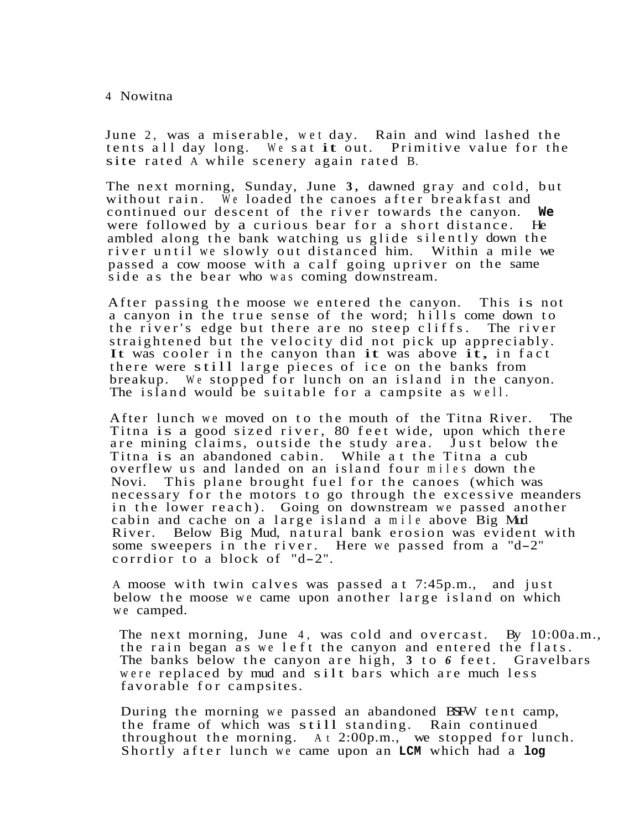June 2, was a miserable, wet day. Rain and wind lashed the tents all day long. We sat it out. Primitive value for the tents all day long. We sat it out. site rated A while scenery again rated B.

The next morning, Sunday, June **3,** dawned gray and cold, but without rain. We loaded the canoes after breakfast and continued our descent of the river towards the canyon. **We** were followed by a curious bear for a short distance. ambled along the bank watching us glide silently down the river until we slowly out distanced him. Within a mile we passed a cow moose with a calf going upriver on the same side as the bear who was coming downstream.

After passing the moose we entered the canyon. This is not a canyon in the true sense of the word; hills come down to the river's edge but there are no steep cliffs. The river straightened but the velocity did not pick up appreciably. It was cooler in the canyon than it was above it, in fact there were still large pieces of ice on the banks from breakup. We stopped for lunch on an island in the canyon. The island would be suitable for a campsite as well.

After lunch we moved on to the mouth of the Titna River. The Titna is a good sized river, 80 feet wide, upon which there are mining claims, outside the study area. Just below the Titna is an abandoned cabin. While at the Titna a cub overflew us and landed on an island four miles down the This plane brought fuel for the canoes (which was necessary for the motors to go through the excessive meanders in the lower reach). Going on downstream we passed another cabin and cache on a large island a mile above Big Mud River. Below Big Mud, natural bank erosion was evident with some sweepers in the river. Here we passed from a "d-2" some sweepers in the fiver.

A moose with twin calves was passed at 7:45p.m., and just below the moose we came upon another large island on which we camped.

The next morning, June 4, was cold and overcast. By 10:00a.m., the rain began as we left the canyon and entered the flats. The banks below the canyon are high, **3** to *6* feet. Gravelbars were replaced by mud and silt bars which are much less favorable for campsites.

During the morning we passed an abandoned BSFW tent camp, the frame of which was still standing. Rain continued throughout the morning. At 2:00p.m., we stopped for lunch. Shortly after lunch we came upon an **LCM** which had a **log**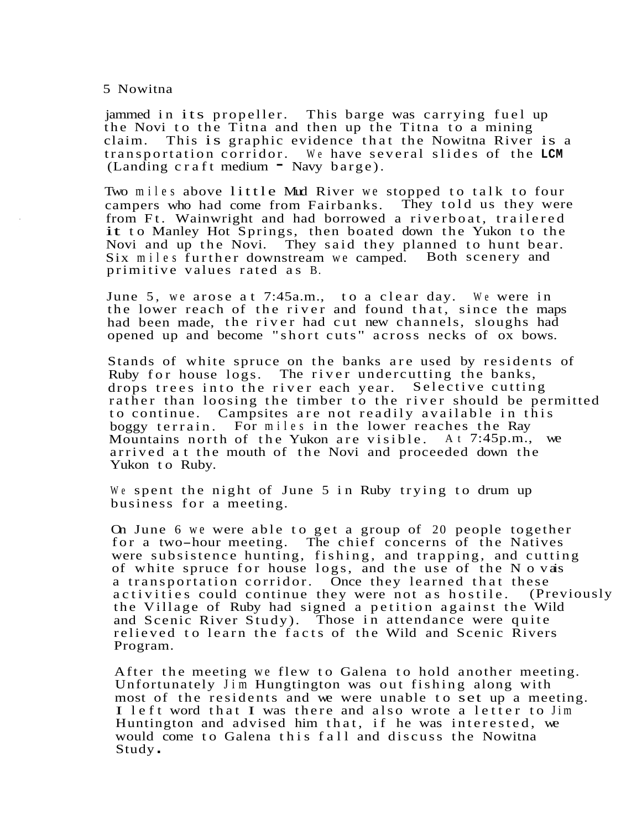jammed in its propeller. This barge was carrying fuel up the Novi to the Titna and then up the Titna to a mining claim. This is graphic evidence that the Nowitna River is a transportation corridor. We have several slides of the **LCM**   $(Landing \, c \, r \, af \, t \, medium$  - Navy barge).

Two miles above little Mud River we stopped to talk to four campers who had come from Fairbanks. They told us they were from Ft. Wainwright and had borrowed a riverboat, trailered it to Manley Hot Springs, then boated down the Yukon to the Novi and up the Novi. They said they planned to hunt bear. Six miles further downstream we camped. Both scenery and primitive values rated as B.

June 5, we arose at 7:45a.m., to a clear day. We were in the lower reach of the river and found that, since the maps had been made, the river had cut new channels, sloughs had opened up and become " short cuts " across necks of ox bows.

Stands of white spruce on the banks are used by residents of Ruby for house logs. The river undercutting the banks, drops trees into the river each year. Selective cutting rather than loosing the timber to the river should be permitted to continue. Campsites are not readily available in this boggy terrain. For miles in the lower reaches the Ray Mountains north of the Yukon are visible. At 7:45p.m., we arrived at the mouth of the Novi and proceeded down the Yukon to Ruby.

We spent the night of June 5 in Ruby trying to drum up business for a meeting.

On June 6 we were able to get a group of 20 people together for a two-hour meeting. The chief concerns of the Natives were subsistence hunting, fishing, and trapping, and cutting of white spruce for house logs, and the use of the N o vas a transportation corridor. Once they learned that these<br>activities could continue they were not as hostile. (Previously activities could continue they were not as hostile. the Village of Ruby had signed a petition against the Wild and Scenic River Study). Those in attendance were quite relieved to learn the facts of the Wild and Scenic Rivers Program.

After the meeting we flew to Galena to hold another meeting. Unfortunately Jim Hungtington was out fishing along with most of the residents and we were unable to set up a meeting. I left word that I was there and also wrote a letter to Jim Huntington and advised him that, if he was interested, we would come to Galena this fall and discuss the Nowitna Study .